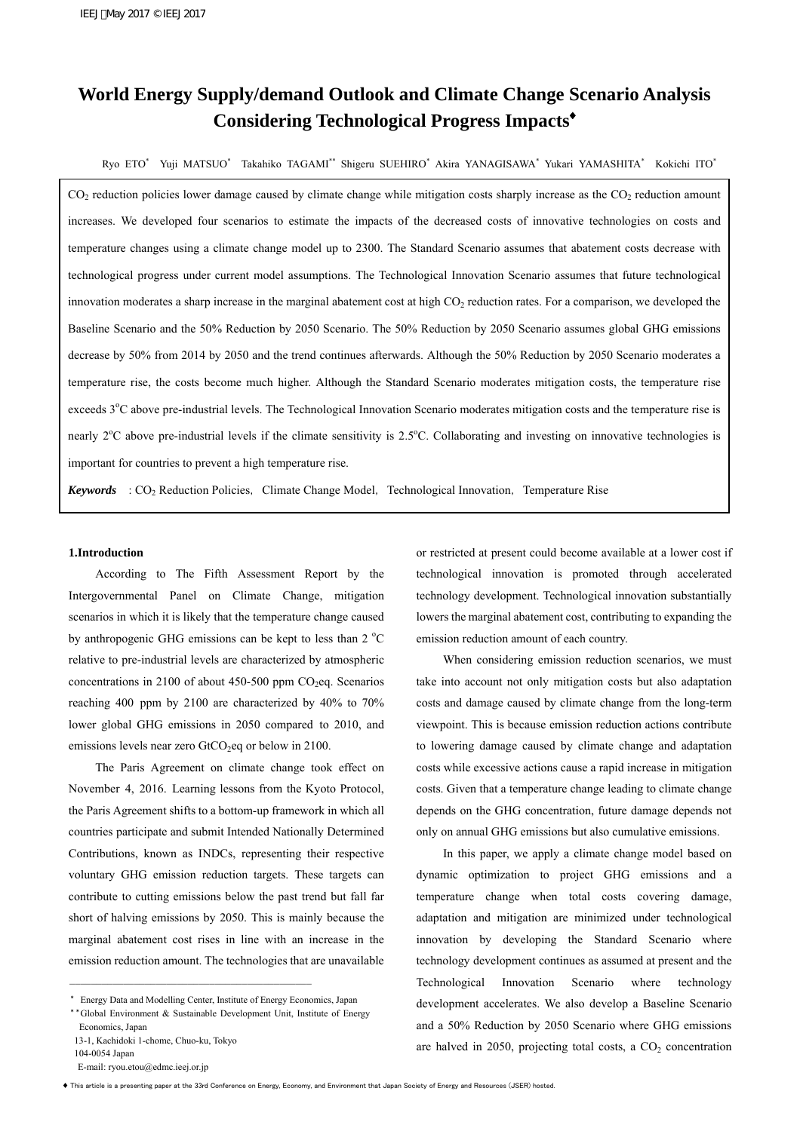# **World Energy Supply/demand Outlook and Climate Change Scenario Analysis Considering Technological Progress Impacts**♦

Ryo ETO\* Yuji MATSUO\* Takahiko TAGAMI\*\* Shigeru SUEHIRO\* Akira YANAGISAWA\* Yukari YAMASHITA\* Kokichi ITO\*

 $CO<sub>2</sub>$  reduction policies lower damage caused by climate change while mitigation costs sharply increase as the  $CO<sub>2</sub>$  reduction amount increases. We developed four scenarios to estimate the impacts of the decreased costs of innovative technologies on costs and temperature changes using a climate change model up to 2300. The Standard Scenario assumes that abatement costs decrease with technological progress under current model assumptions. The Technological Innovation Scenario assumes that future technological innovation moderates a sharp increase in the marginal abatement cost at high  $CO<sub>2</sub>$  reduction rates. For a comparison, we developed the Baseline Scenario and the 50% Reduction by 2050 Scenario. The 50% Reduction by 2050 Scenario assumes global GHG emissions decrease by 50% from 2014 by 2050 and the trend continues afterwards. Although the 50% Reduction by 2050 Scenario moderates a temperature rise, the costs become much higher. Although the Standard Scenario moderates mitigation costs, the temperature rise exceeds  $3^{\circ}$ C above pre-industrial levels. The Technological Innovation Scenario moderates mitigation costs and the temperature rise is nearly 2<sup>o</sup>C above pre-industrial levels if the climate sensitivity is 2.5<sup>o</sup>C. Collaborating and investing on innovative technologies is important for countries to prevent a high temperature rise.

*Keywords* : CO<sub>2</sub> Reduction Policies, Climate Change Model, Technological Innovation, Temperature Rise

## **1.Introduction**

 According to The Fifth Assessment Report by the Intergovernmental Panel on Climate Change, mitigation scenarios in which it is likely that the temperature change caused by anthropogenic GHG emissions can be kept to less than  $2^{\circ}$ C relative to pre-industrial levels are characterized by atmospheric concentrations in 2100 of about 450-500 ppm  $CO<sub>2</sub>$ eq. Scenarios reaching 400 ppm by 2100 are characterized by 40% to 70% lower global GHG emissions in 2050 compared to 2010, and emissions levels near zero  $GtCO<sub>2</sub>$ eq or below in 2100.

 The Paris Agreement on climate change took effect on November 4, 2016. Learning lessons from the Kyoto Protocol, the Paris Agreement shifts to a bottom-up framework in which all countries participate and submit Intended Nationally Determined Contributions, known as INDCs, representing their respective voluntary GHG emission reduction targets. These targets can contribute to cutting emissions below the past trend but fall far short of halving emissions by 2050. This is mainly because the marginal abatement cost rises in line with an increase in the emission reduction amount. The technologies that are unavailable

―――――――――――――――――――――――――――――――――――――――――――――

104-0054 Japan

E-mail: ryou.etou@edmc.ieej.or.jp

or restricted at present could become available at a lower cost if technological innovation is promoted through accelerated technology development. Technological innovation substantially lowers the marginal abatement cost, contributing to expanding the emission reduction amount of each country.

 When considering emission reduction scenarios, we must take into account not only mitigation costs but also adaptation costs and damage caused by climate change from the long-term viewpoint. This is because emission reduction actions contribute to lowering damage caused by climate change and adaptation costs while excessive actions cause a rapid increase in mitigation costs. Given that a temperature change leading to climate change depends on the GHG concentration, future damage depends not only on annual GHG emissions but also cumulative emissions.

 In this paper, we apply a climate change model based on dynamic optimization to project GHG emissions and a temperature change when total costs covering damage, adaptation and mitigation are minimized under technological innovation by developing the Standard Scenario where technology development continues as assumed at present and the Technological Innovation Scenario where technology development accelerates. We also develop a Baseline Scenario and a 50% Reduction by 2050 Scenario where GHG emissions are halved in  $2050$ , projecting total costs, a  $CO<sub>2</sub>$  concentration

<sup>\*</sup> Energy Data and Modelling Center, Institute of Energy Economics, Japan

<sup>\*\*</sup>Global Environment & Sustainable Development Unit, Institute of Energy Economics, Japan 13-1, Kachidoki 1-chome, Chuo-ku, Tokyo

<sup>♦</sup> This article is a presenting paper at the 33rd Conference on Energy, Economy, and Environment that Japan Society of Energy and Resources (JSER) hosted.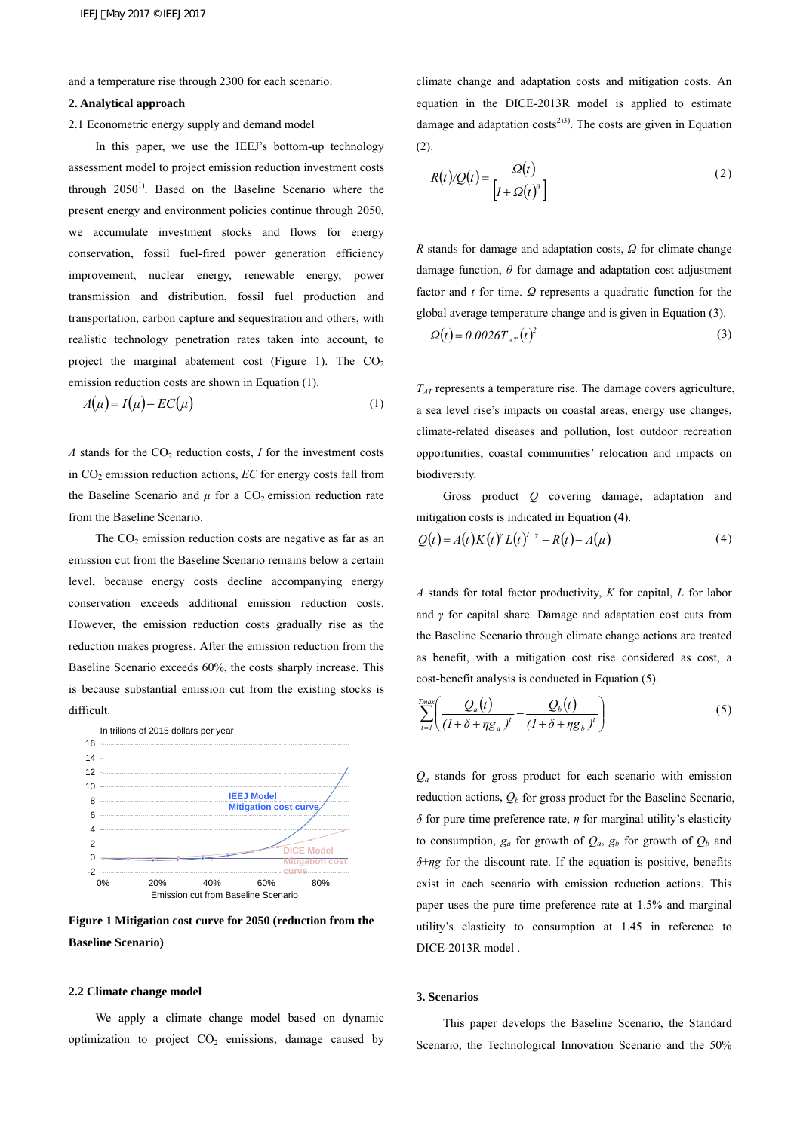and a temperature rise through 2300 for each scenario.

#### **2. Analytical approach**

2.1 Econometric energy supply and demand model

 In this paper, we use the IEEJ's bottom-up technology assessment model to project emission reduction investment costs through  $2050<sup>1</sup>$ . Based on the Baseline Scenario where the present energy and environment policies continue through 2050, we accumulate investment stocks and flows for energy conservation, fossil fuel-fired power generation efficiency improvement, nuclear energy, renewable energy, power transmission and distribution, fossil fuel production and transportation, carbon capture and sequestration and others, with realistic technology penetration rates taken into account, to project the marginal abatement cost (Figure 1). The  $CO<sub>2</sub>$ emission reduction costs are shown in Equation (1).

$$
\Lambda(\mu) = I(\mu) - EC(\mu) \tag{1}
$$

*Λ* stands for the CO<sub>2</sub> reduction costs, *I* for the investment costs in CO2 emission reduction actions, *EC* for energy costs fall from the Baseline Scenario and  $\mu$  for a CO<sub>2</sub> emission reduction rate from the Baseline Scenario.

The  $CO<sub>2</sub>$  emission reduction costs are negative as far as an emission cut from the Baseline Scenario remains below a certain level, because energy costs decline accompanying energy conservation exceeds additional emission reduction costs. However, the emission reduction costs gradually rise as the reduction makes progress. After the emission reduction from the Baseline Scenario exceeds 60%, the costs sharply increase. This is because substantial emission cut from the existing stocks is difficult.



**Figure 1 Mitigation cost curve for 2050 (reduction from the Baseline Scenario)** 

## **2.2 Climate change model**

 We apply a climate change model based on dynamic optimization to project  $CO<sub>2</sub>$  emissions, damage caused by climate change and adaptation costs and mitigation costs. An equation in the DICE-2013R model is applied to estimate damage and adaptation  $costs^{2}$ <sup>33</sup>. The costs are given in Equation (2).

$$
R(t)/Q(t) = \frac{Q(t)}{\left[l + Q(t)^{\theta}\right]}
$$
 (2)

*R* stands for damage and adaptation costs, *Ω* for climate change damage function, *θ* for damage and adaptation cost adjustment factor and *t* for time. *Ω* represents a quadratic function for the global average temperature change and is given in Equation (3).

$$
\Omega(t) = 0.0026 T_{AT}(t)^2 \tag{3}
$$

*TAT* represents a temperature rise. The damage covers agriculture, a sea level rise's impacts on coastal areas, energy use changes, climate-related diseases and pollution, lost outdoor recreation opportunities, coastal communities' relocation and impacts on biodiversity.

 Gross product *Q* covering damage, adaptation and mitigation costs is indicated in Equation (4).

$$
Q(t) = A(t)K(t)^{\gamma}L(t)^{\gamma-\gamma} - R(t) - A(\mu)
$$
\n(4)

*A* stands for total factor productivity, *K* for capital, *L* for labor and *γ* for capital share. Damage and adaptation cost cuts from the Baseline Scenario through climate change actions are treated as benefit, with a mitigation cost rise considered as cost, a cost-benefit analysis is conducted in Equation (5).

$$
\sum_{t=1}^{Tmax} \left( \frac{Q_a(t)}{(1+\delta+\eta g_a)^t} - \frac{Q_b(t)}{(1+\delta+\eta g_b)^t} \right) \tag{5}
$$

*Qa* stands for gross product for each scenario with emission reduction actions,  $Q_b$  for gross product for the Baseline Scenario, *δ* for pure time preference rate, *η* for marginal utility's elasticity to consumption,  $g_a$  for growth of  $Q_a$ ,  $g_b$  for growth of  $Q_b$  and *δ*+*ηg* for the discount rate. If the equation is positive, benefits exist in each scenario with emission reduction actions. This paper uses the pure time preference rate at 1.5% and marginal utility's elasticity to consumption at 1.45 in reference to DICE-2013R model .

# **3. Scenarios**

 This paper develops the Baseline Scenario, the Standard Scenario, the Technological Innovation Scenario and the 50%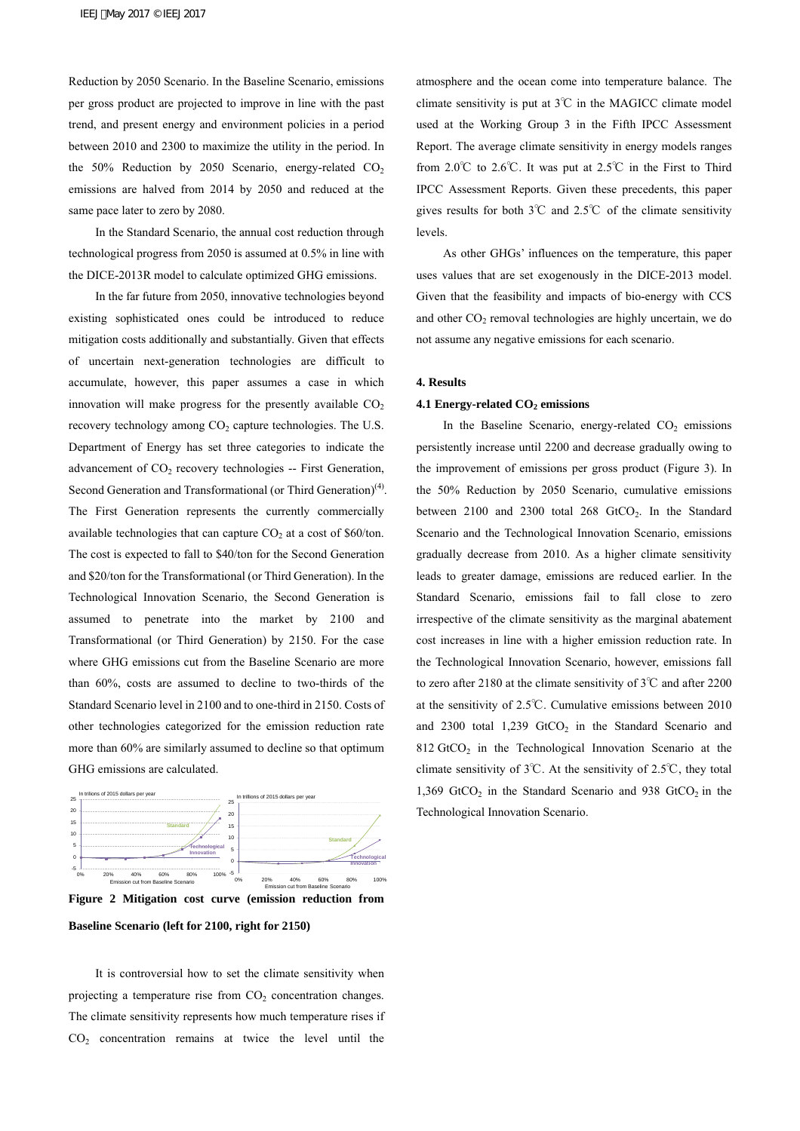Reduction by 2050 Scenario. In the Baseline Scenario, emissions per gross product are projected to improve in line with the past trend, and present energy and environment policies in a period between 2010 and 2300 to maximize the utility in the period. In the 50% Reduction by 2050 Scenario, energy-related  $CO<sub>2</sub>$ emissions are halved from 2014 by 2050 and reduced at the same pace later to zero by 2080.

 In the Standard Scenario, the annual cost reduction through technological progress from 2050 is assumed at 0.5% in line with the DICE-2013R model to calculate optimized GHG emissions.

 In the far future from 2050, innovative technologies beyond existing sophisticated ones could be introduced to reduce mitigation costs additionally and substantially. Given that effects of uncertain next-generation technologies are difficult to accumulate, however, this paper assumes a case in which innovation will make progress for the presently available  $CO<sub>2</sub>$ recovery technology among  $CO<sub>2</sub>$  capture technologies. The U.S. Department of Energy has set three categories to indicate the advancement of  $CO<sub>2</sub>$  recovery technologies -- First Generation, Second Generation and Transformational (or Third Generation)<sup>(4)</sup>. The First Generation represents the currently commercially available technologies that can capture  $CO<sub>2</sub>$  at a cost of \$60/ton. The cost is expected to fall to \$40/ton for the Second Generation and \$20/ton for the Transformational (or Third Generation). In the Technological Innovation Scenario, the Second Generation is assumed to penetrate into the market by 2100 and Transformational (or Third Generation) by 2150. For the case where GHG emissions cut from the Baseline Scenario are more than 60%, costs are assumed to decline to two-thirds of the Standard Scenario level in 2100 and to one-third in 2150. Costs of other technologies categorized for the emission reduction rate more than 60% are similarly assumed to decline so that optimum GHG emissions are calculated.



**Figure 2 Mitigation cost curve (emission reduction from** 

**Baseline Scenario (left for 2100, right for 2150)** 

 It is controversial how to set the climate sensitivity when projecting a temperature rise from  $CO<sub>2</sub>$  concentration changes. The climate sensitivity represents how much temperature rises if  $CO<sub>2</sub>$  concentration remains at twice the level until the

atmosphere and the ocean come into temperature balance. The climate sensitivity is put at 3℃ in the MAGICC climate model used at the Working Group 3 in the Fifth IPCC Assessment Report. The average climate sensitivity in energy models ranges from 2.0℃ to 2.6℃. It was put at 2.5℃ in the First to Third IPCC Assessment Reports. Given these precedents, this paper gives results for both 3℃ and 2.5℃ of the climate sensitivity levels.

 As other GHGs' influences on the temperature, this paper uses values that are set exogenously in the DICE-2013 model. Given that the feasibility and impacts of bio-energy with CCS and other  $CO<sub>2</sub>$  removal technologies are highly uncertain, we do not assume any negative emissions for each scenario.

#### **4. Results**

# **4.1 Energy-related CO<sub>2</sub> emissions**

In the Baseline Scenario, energy-related  $CO<sub>2</sub>$  emissions persistently increase until 2200 and decrease gradually owing to the improvement of emissions per gross product (Figure 3). In the 50% Reduction by 2050 Scenario, cumulative emissions between 2100 and 2300 total 268  $GtCO<sub>2</sub>$ . In the Standard Scenario and the Technological Innovation Scenario, emissions gradually decrease from 2010. As a higher climate sensitivity leads to greater damage, emissions are reduced earlier. In the Standard Scenario, emissions fail to fall close to zero irrespective of the climate sensitivity as the marginal abatement cost increases in line with a higher emission reduction rate. In the Technological Innovation Scenario, however, emissions fall to zero after 2180 at the climate sensitivity of 3℃ and after 2200 at the sensitivity of 2.5℃. Cumulative emissions between 2010 and 2300 total  $1,239$  GtCO<sub>2</sub> in the Standard Scenario and  $812$  GtCO<sub>2</sub> in the Technological Innovation Scenario at the climate sensitivity of 3℃. At the sensitivity of 2.5℃, they total 1,369 GtCO<sub>2</sub> in the Standard Scenario and 938 GtCO<sub>2</sub> in the Technological Innovation Scenario.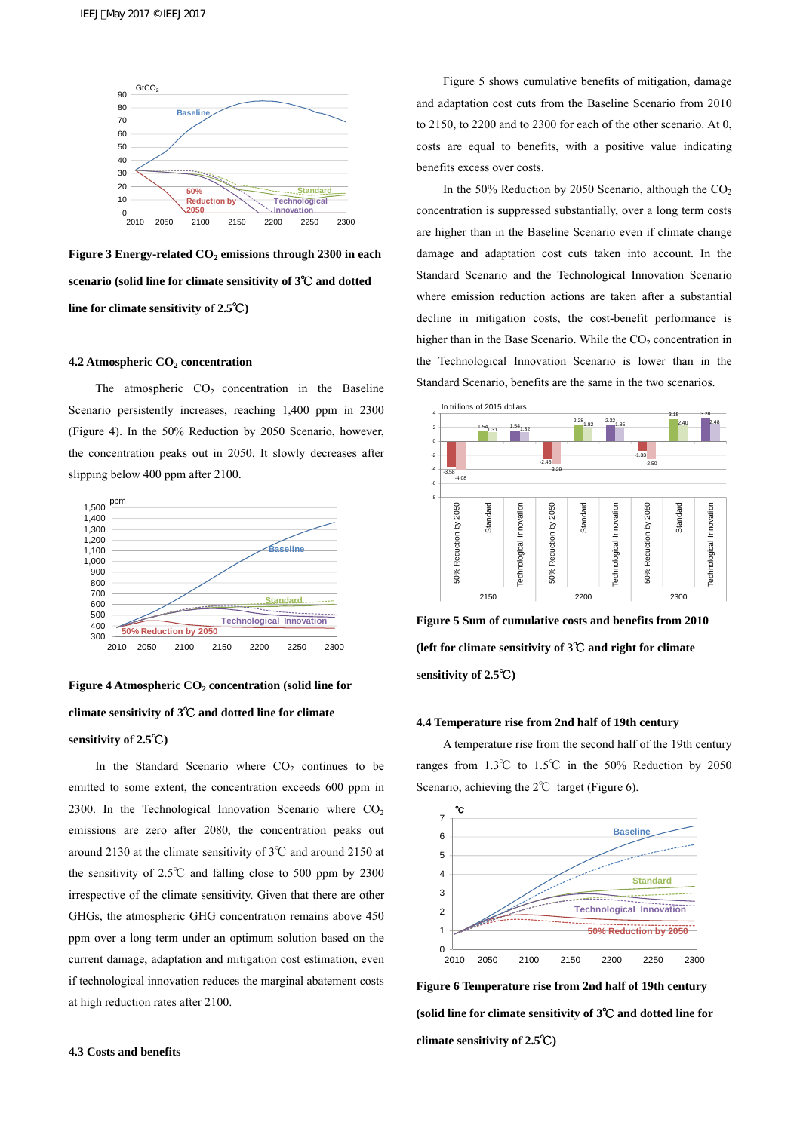



# **4.2 Atmospheric CO<sub>2</sub> concentration**

The atmospheric  $CO<sub>2</sub>$  concentration in the Baseline Scenario persistently increases, reaching 1,400 ppm in 2300 (Figure 4). In the 50% Reduction by 2050 Scenario, however, the concentration peaks out in 2050. It slowly decreases after slipping below 400 ppm after 2100.



Figure 4 Atmospheric CO<sub>2</sub> concentration (solid line for **climate sensitivity of 3**℃ **and dotted line for climate sensitivity o**f **2.5**℃**)** 

In the Standard Scenario where  $CO<sub>2</sub>$  continues to be emitted to some extent, the concentration exceeds 600 ppm in 2300. In the Technological Innovation Scenario where  $CO<sub>2</sub>$ emissions are zero after 2080, the concentration peaks out around 2130 at the climate sensitivity of 3℃ and around 2150 at the sensitivity of 2.5℃ and falling close to 500 ppm by 2300 irrespective of the climate sensitivity. Given that there are other GHGs, the atmospheric GHG concentration remains above 450 ppm over a long term under an optimum solution based on the current damage, adaptation and mitigation cost estimation, even if technological innovation reduces the marginal abatement costs at high reduction rates after 2100.

Figure 5 shows cumulative benefits of mitigation, damage and adaptation cost cuts from the Baseline Scenario from 2010 to 2150, to 2200 and to 2300 for each of the other scenario. At 0, costs are equal to benefits, with a positive value indicating benefits excess over costs.

In the 50% Reduction by 2050 Scenario, although the  $CO<sub>2</sub>$ concentration is suppressed substantially, over a long term costs are higher than in the Baseline Scenario even if climate change damage and adaptation cost cuts taken into account. In the Standard Scenario and the Technological Innovation Scenario where emission reduction actions are taken after a substantial decline in mitigation costs, the cost-benefit performance is higher than in the Base Scenario. While the  $CO<sub>2</sub>$  concentration in the Technological Innovation Scenario is lower than in the Standard Scenario, benefits are the same in the two scenarios.



**Figure 5 Sum of cumulative costs and benefits from 2010 (left for climate sensitivity of 3**℃ **and right for climate sensitivity of 2.5**℃**)** 

## **4.4 Temperature rise from 2nd half of 19th century**

 A temperature rise from the second half of the 19th century ranges from 1.3℃ to 1.5℃ in the 50% Reduction by 2050 Scenario, achieving the 2℃ target (Figure 6).



**Figure 6 Temperature rise from 2nd half of 19th century (solid line for climate sensitivity of 3**℃ **and dotted line for climate sensitivity o**f **2.5**℃**)**